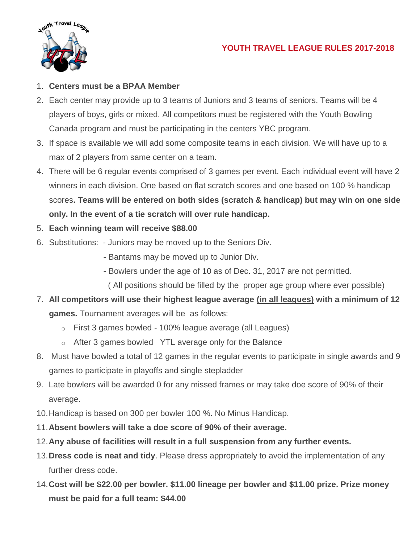

## 1. **Centers must be a BPAA Member**

- 2. Each center may provide up to 3 teams of Juniors and 3 teams of seniors. Teams will be 4 players of boys, girls or mixed. All competitors must be registered with the Youth Bowling Canada program and must be participating in the centers YBC program.
- 3. If space is available we will add some composite teams in each division. We will have up to a max of 2 players from same center on a team.
- 4. There will be 6 regular events comprised of 3 games per event. Each individual event will have 2 winners in each division. One based on flat scratch scores and one based on 100 % handicap scores**. Teams will be entered on both sides (scratch & handicap) but may win on one side only. In the event of a tie scratch will over rule handicap.**
- 5. **Each winning team will receive \$88.00**
- 6. Substitutions: Juniors may be moved up to the Seniors Div.
	- Bantams may be moved up to Junior Div.
	- Bowlers under the age of 10 as of Dec. 31, 2017 are not permitted.
	- ( All positions should be filled by the proper age group where ever possible)
- 7. **All competitors will use their highest league average (in all leagues) with a minimum of 12 games.** Tournament averages will be as follows:
	- o First 3 games bowled 100% league average (all Leagues)
	- o After 3 games bowled YTL average only for the Balance
- 8. Must have bowled a total of 12 games in the regular events to participate in single awards and 9 games to participate in playoffs and single stepladder
- 9. Late bowlers will be awarded 0 for any missed frames or may take doe score of 90% of their average.
- 10.Handicap is based on 300 per bowler 100 %. No Minus Handicap.
- 11.**Absent bowlers will take a doe score of 90% of their average.**
- 12.**Any abuse of facilities will result in a full suspension from any further events.**
- 13.**Dress code is neat and tidy**. Please dress appropriately to avoid the implementation of any further dress code.
- 14.**Cost will be \$22.00 per bowler. \$11.00 lineage per bowler and \$11.00 prize. Prize money must be paid for a full team: \$44.00**